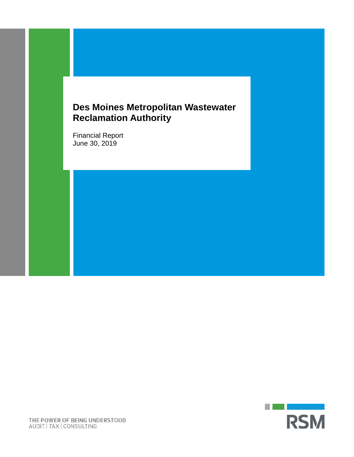Financial Report June 30, 2019

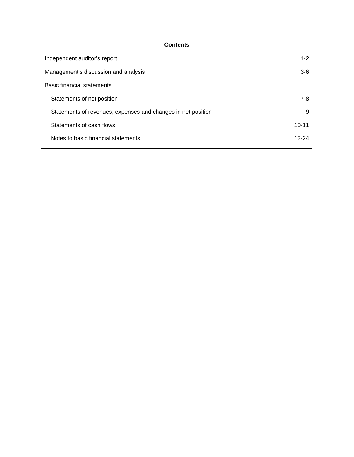# **Contents**

| Independent auditor's report                                 | $1 - 2$   |
|--------------------------------------------------------------|-----------|
| Management's discussion and analysis                         | $3-6$     |
| Basic financial statements                                   |           |
| Statements of net position                                   | 7-8       |
| Statements of revenues, expenses and changes in net position | 9         |
| Statements of cash flows                                     | $10 - 11$ |
| Notes to basic financial statements                          | $12 - 24$ |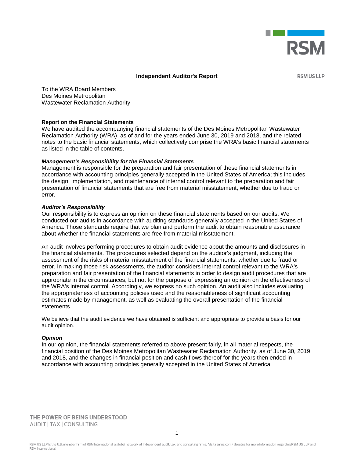

#### **Independent Auditor's Report**

**RSM US LLP** 

To the WRA Board Members Des Moines Metropolitan Wastewater Reclamation Authority

#### **Report on the Financial Statements**

We have audited the accompanying financial statements of the Des Moines Metropolitan Wastewater Reclamation Authority (WRA), as of and for the years ended June 30, 2019 and 2018, and the related notes to the basic financial statements, which collectively comprise the WRA's basic financial statements as listed in the table of contents.

#### *Management's Responsibility for the Financial Statements*

Management is responsible for the preparation and fair presentation of these financial statements in accordance with accounting principles generally accepted in the United States of America; this includes the design, implementation, and maintenance of internal control relevant to the preparation and fair presentation of financial statements that are free from material misstatement, whether due to fraud or error.

#### *Auditor's Responsibility*

Our responsibility is to express an opinion on these financial statements based on our audits. We conducted our audits in accordance with auditing standards generally accepted in the United States of America. Those standards require that we plan and perform the audit to obtain reasonable assurance about whether the financial statements are free from material misstatement.

An audit involves performing procedures to obtain audit evidence about the amounts and disclosures in the financial statements. The procedures selected depend on the auditor's judgment, including the assessment of the risks of material misstatement of the financial statements, whether due to fraud or error. In making those risk assessments, the auditor considers internal control relevant to the WRA's preparation and fair presentation of the financial statements in order to design audit procedures that are appropriate in the circumstances, but not for the purpose of expressing an opinion on the effectiveness of the WRA's internal control. Accordingly, we express no such opinion. An audit also includes evaluating the appropriateness of accounting policies used and the reasonableness of significant accounting estimates made by management, as well as evaluating the overall presentation of the financial statements.

We believe that the audit evidence we have obtained is sufficient and appropriate to provide a basis for our audit opinion.

#### *Opinion*

In our opinion, the financial statements referred to above present fairly, in all material respects, the financial position of the Des Moines Metropolitan Wastewater Reclamation Authority, as of June 30, 2019 and 2018, and the changes in financial position and cash flows thereof for the years then ended in accordance with accounting principles generally accepted in the United States of America.

THE POWER OF BEING UNDERSTOOD AUDIT | TAX | CONSULTING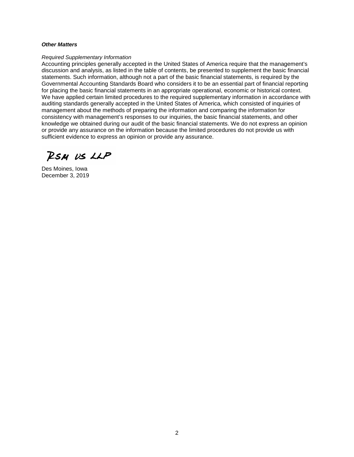#### *Other Matters*

#### *Required Supplementary Information*

Accounting principles generally accepted in the United States of America require that the management's discussion and analysis, as listed in the table of contents, be presented to supplement the basic financial statements. Such information, although not a part of the basic financial statements, is required by the Governmental Accounting Standards Board who considers it to be an essential part of financial reporting for placing the basic financial statements in an appropriate operational, economic or historical context. We have applied certain limited procedures to the required supplementary information in accordance with auditing standards generally accepted in the United States of America, which consisted of inquiries of management about the methods of preparing the information and comparing the information for consistency with management's responses to our inquiries, the basic financial statements, and other knowledge we obtained during our audit of the basic financial statements. We do not express an opinion or provide any assurance on the information because the limited procedures do not provide us with sufficient evidence to express an opinion or provide any assurance.

RSM US LLP

Des Moines, Iowa December 3, 2019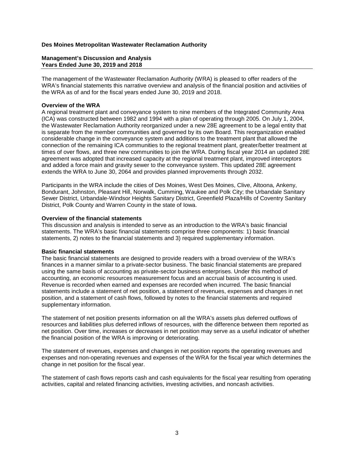## **Management's Discussion and Analysis Years Ended June 30, 2019 and 2018**

The management of the Wastewater Reclamation Authority (WRA) is pleased to offer readers of the WRA's financial statements this narrative overview and analysis of the financial position and activities of the WRA as of and for the fiscal years ended June 30, 2019 and 2018.

## **Overview of the WRA**

A regional treatment plant and conveyance system to nine members of the Integrated Community Area (ICA) was constructed between 1982 and 1994 with a plan of operating through 2005. On July 1, 2004, the Wastewater Reclamation Authority reorganized under a new 28E agreement to be a legal entity that is separate from the member communities and governed by its own Board. This reorganization enabled considerable change in the conveyance system and additions to the treatment plant that allowed the connection of the remaining ICA communities to the regional treatment plant, greater/better treatment at times of over flows, and three new communities to join the WRA. During fiscal year 2014 an updated 28E agreement was adopted that increased capacity at the regional treatment plant, improved interceptors and added a force main and gravity sewer to the conveyance system. This updated 28E agreement extends the WRA to June 30, 2064 and provides planned improvements through 2032.

Participants in the WRA include the cities of Des Moines, West Des Moines, Clive, Altoona, Ankeny, Bondurant, Johnston, Pleasant Hill, Norwalk, Cumming, Waukee and Polk City; the Urbandale Sanitary Sewer District, Urbandale-Windsor Heights Sanitary District, Greenfield Plaza/Hills of Coventry Sanitary District, Polk County and Warren County in the state of Iowa.

## **Overview of the financial statements**

This discussion and analysis is intended to serve as an introduction to the WRA's basic financial statements. The WRA's basic financial statements comprise three components: 1) basic financial statements, 2) notes to the financial statements and 3) required supplementary information.

## **Basic financial statements**

The basic financial statements are designed to provide readers with a broad overview of the WRA's finances in a manner similar to a private-sector business. The basic financial statements are prepared using the same basis of accounting as private-sector business enterprises. Under this method of accounting, an economic resources measurement focus and an accrual basis of accounting is used. Revenue is recorded when earned and expenses are recorded when incurred. The basic financial statements include a statement of net position, a statement of revenues, expenses and changes in net position, and a statement of cash flows, followed by notes to the financial statements and required supplementary information.

The statement of net position presents information on all the WRA's assets plus deferred outflows of resources and liabilities plus deferred inflows of resources, with the difference between them reported as net position. Over time, increases or decreases in net position may serve as a useful indicator of whether the financial position of the WRA is improving or deteriorating.

The statement of revenues, expenses and changes in net position reports the operating revenues and expenses and non-operating revenues and expenses of the WRA for the fiscal year which determines the change in net position for the fiscal year.

The statement of cash flows reports cash and cash equivalents for the fiscal year resulting from operating activities, capital and related financing activities, investing activities, and noncash activities.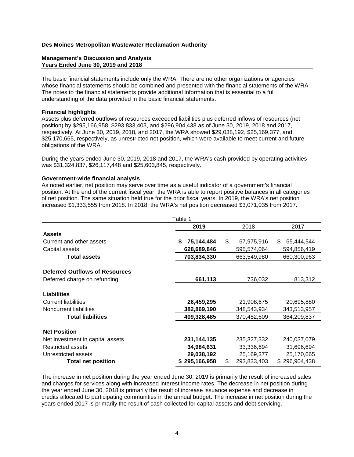#### **Management's Discussion and Analysis Years Ended June 30, 2019 and 2018**

The basic financial statements include only the WRA. There are no other organizations or agencies whose financial statements should be combined and presented with the financial statements of the WRA. The notes to the financial statements provide additional information that is essential to a full understanding of the data provided in the basic financial statements.

#### **Financial highlights**

Assets plus deferred outflows of resources exceeded liabilities plus deferred inflows of resources (net position) by \$295,166,958, \$293,833,403, and \$296,904,438 as of June 30, 2019, 2018 and 2017, respectively. At June 30, 2019, 2018, and 2017, the WRA showed \$29,038,192, \$25,169,377, and \$25,170,665, respectively, as unrestricted net position, which were available to meet current and future obligations of the WRA.

During the years ended June 30, 2019, 2018 and 2017, the WRA's cash provided by operating activities was \$31,324,837, \$26,117,448 and \$25,603,845, respectively.

## **Government-wide financial analysis**

As noted earlier, net position may serve over time as a useful indicator of a government's financial position. At the end of the current fiscal year, the WRA is able to report positive balances in all categories of net position. The same situation held true for the prior fiscal years. In 2019, the WRA's net position increased \$1,333,555 from 2018. In 2018, the WRA's net position decreased \$3,071,035 from 2017.

| Table 1                                          |                 |                   |                   |  |  |  |
|--------------------------------------------------|-----------------|-------------------|-------------------|--|--|--|
|                                                  | 2019            | 2018              | 2017              |  |  |  |
| <b>Assets</b>                                    |                 |                   |                   |  |  |  |
| Current and other assets                         | 75,144,484<br>S | \$.<br>67,975,916 | 65,444,544<br>\$. |  |  |  |
| Capital assets                                   | 628,689,846     | 595,574,064       | 594,856,419       |  |  |  |
| <b>Total assets</b>                              | 703,834,330     | 663,549,980       | 660,300,963       |  |  |  |
| <b>Deferred Outflows of Resources</b>            |                 |                   |                   |  |  |  |
| Deferred charge on refunding                     | 661,113         | 736,032           | 813,312           |  |  |  |
| <b>Liabilities</b><br><b>Current liabilities</b> | 26,459,295      | 21,908,675        | 20,695,880        |  |  |  |
| Noncurrent liabilities                           | 382,869,190     | 348,543,934       | 343,513,957       |  |  |  |
| <b>Total liabilities</b>                         | 409,328,485     | 370,452,609       | 364,209,837       |  |  |  |
| <b>Net Position</b>                              |                 |                   |                   |  |  |  |
| Net investment in capital assets                 | 231, 144, 135   | 235,327,332       | 240,037,079       |  |  |  |
| Restricted assets                                | 34,984,631      | 33,336,694        | 31,696,694        |  |  |  |
| Unrestricted assets                              | 29,038,192      | 25,169,377        | 25,170,665        |  |  |  |
| <b>Total net position</b>                        | \$295,166,958   | \$<br>293,833,403 | \$296,904,438     |  |  |  |

The increase in net position during the year ended June 30, 2019 is primarily the result of increased sales and charges for services along with increased interest income rates. The decrease in net position during the year ended June 30, 2018 is primarily the result of increase issuance expense and decrease in credits allocated to participating communities in the annual budget. The increase in net position during the years ended 2017 is primarily the result of cash collected for capital assets and debt servicing.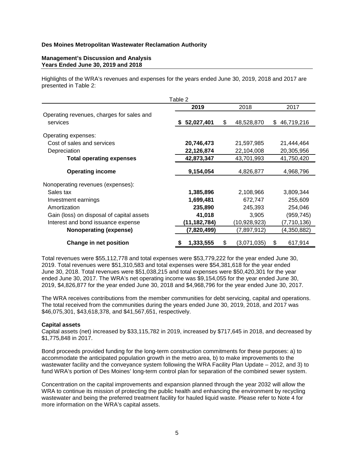#### **Management's Discussion and Analysis Years Ended June 30, 2019 and 2018**

Highlights of the WRA's revenues and expenses for the years ended June 30, 2019, 2018 and 2017 are presented in Table 2:

| Table 2                                   |                  |    |              |                   |  |  |
|-------------------------------------------|------------------|----|--------------|-------------------|--|--|
|                                           | 2019             |    | 2018         | 2017              |  |  |
| Operating revenues, charges for sales and |                  |    |              |                   |  |  |
| services                                  | 52,027,401<br>S. | \$ | 48,528,870   | 46,719,216<br>\$. |  |  |
| Operating expenses:                       |                  |    |              |                   |  |  |
| Cost of sales and services                | 20,746,473       |    | 21,597,985   | 21,444,464        |  |  |
| Depreciation                              | 22,126,874       |    | 22,104,008   | 20,305,956        |  |  |
| <b>Total operating expenses</b>           | 42,873,347       |    | 43,701,993   | 41,750,420        |  |  |
| <b>Operating income</b>                   | 9,154,054        |    | 4,826,877    | 4,968,796         |  |  |
| Nonoperating revenues (expenses):         |                  |    |              |                   |  |  |
| Sales tax                                 | 1,385,896        |    | 2,108,966    | 3,809,344         |  |  |
| Investment earnings                       | 1,699,481        |    | 672,747      | 255,609           |  |  |
| Amortization                              | 235,890          |    | 245,393      | 254,046           |  |  |
| Gain (loss) on disposal of capital assets | 41,018           |    | 3,905        | (959, 745)        |  |  |
| Interest and bond issuance expense        | (11,182,784)     |    | (10,928,923) | (7,710,136)       |  |  |
| Nonoperating (expense)                    | (7,820,499)      |    | (7,897,912)  | (4,350,882)       |  |  |
| Change in net position                    | 1,333,555        | \$ | (3,071,035)  | \$<br>617,914     |  |  |

Total revenues were \$55,112,778 and total expenses were \$53,779,222 for the year ended June 30, 2019. Total revenues were \$51,310,583 and total expenses were \$54,381,618 for the year ended June 30, 2018. Total revenues were \$51,038,215 and total expenses were \$50,420,301 for the year ended June 30, 2017. The WRA's net operating income was \$9,154,055 for the year ended June 30, 2019, \$4,826,877 for the year ended June 30, 2018 and \$4,968,796 for the year ended June 30, 2017.

The WRA receives contributions from the member communities for debt servicing, capital and operations. The total received from the communities during the years ended June 30, 2019, 2018, and 2017 was \$46,075,301, \$43,618,378, and \$41,567,651, respectively.

## **Capital assets**

Capital assets (net) increased by \$33,115,782 in 2019, increased by \$717,645 in 2018, and decreased by \$1,775,848 in 2017.

Bond proceeds provided funding for the long-term construction commitments for these purposes: a) to accommodate the anticipated population growth in the metro area, b) to make improvements to the wastewater facility and the conveyance system following the WRA Facility Plan Update – 2012, and 3) to fund WRA's portion of Des Moines' long-term control plan for separation of the combined sewer system.

Concentration on the capital improvements and expansion planned through the year 2032 will allow the WRA to continue its mission of protecting the public health and enhancing the environment by recycling wastewater and being the preferred treatment facility for hauled liquid waste. Please refer to Note 4 for more information on the WRA's capital assets.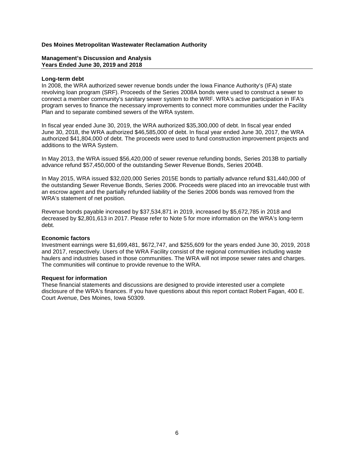#### **Management's Discussion and Analysis Years Ended June 30, 2019 and 2018**

#### **Long-term debt**

In 2008, the WRA authorized sewer revenue bonds under the Iowa Finance Authority's (IFA) state revolving loan program (SRF). Proceeds of the Series 2008A bonds were used to construct a sewer to connect a member community's sanitary sewer system to the WRF. WRA's active participation in IFA's program serves to finance the necessary improvements to connect more communities under the Facility Plan and to separate combined sewers of the WRA system.

In fiscal year ended June 30, 2019, the WRA authorized \$35,300,000 of debt. In fiscal year ended June 30, 2018, the WRA authorized \$46,585,000 of debt. In fiscal year ended June 30, 2017, the WRA authorized \$41,804,000 of debt. The proceeds were used to fund construction improvement projects and additions to the WRA System.

In May 2013, the WRA issued \$56,420,000 of sewer revenue refunding bonds, Series 2013B to partially advance refund \$57,450,000 of the outstanding Sewer Revenue Bonds, Series 2004B.

In May 2015, WRA issued \$32,020,000 Series 2015E bonds to partially advance refund \$31,440,000 of the outstanding Sewer Revenue Bonds, Series 2006. Proceeds were placed into an irrevocable trust with an escrow agent and the partially refunded liability of the Series 2006 bonds was removed from the WRA's statement of net position.

Revenue bonds payable increased by \$37,534,871 in 2019, increased by \$5,672,785 in 2018 and decreased by \$2,801,613 in 2017. Please refer to Note 5 for more information on the WRA's long-term debt.

## **Economic factors**

Investment earnings were \$1,699,481, \$672,747, and \$255,609 for the years ended June 30, 2019, 2018 and 2017, respectively. Users of the WRA Facility consist of the regional communities including waste haulers and industries based in those communities. The WRA will not impose sewer rates and charges. The communities will continue to provide revenue to the WRA.

#### **Request for information**

These financial statements and discussions are designed to provide interested user a complete disclosure of the WRA's finances. If you have questions about this report contact Robert Fagan, 400 E. Court Avenue, Des Moines, Iowa 50309.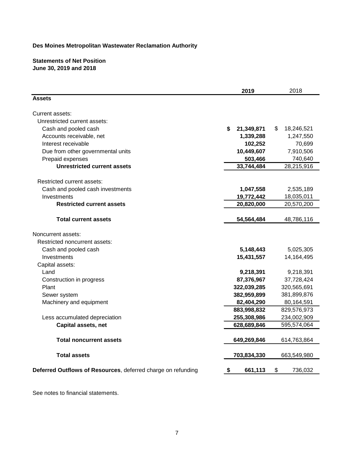**Statements of Net Position June 30, 2019 and 2018**

|                                                              | 2019             | 2018             |
|--------------------------------------------------------------|------------------|------------------|
| Assets                                                       |                  |                  |
| Current assets:                                              |                  |                  |
| Unrestricted current assets:                                 |                  |                  |
| Cash and pooled cash                                         | \$<br>21,349,871 | \$<br>18,246,521 |
| Accounts receivable, net                                     | 1,339,288        | 1,247,550        |
| Interest receivable                                          | 102,252          | 70,699           |
| Due from other governmental units                            | 10,449,607       | 7,910,506        |
| Prepaid expenses                                             | 503,466          | 740,640          |
| <b>Unrestricted current assets</b>                           | 33,744,484       | 28,215,916       |
| Restricted current assets:                                   |                  |                  |
| Cash and pooled cash investments                             | 1,047,558        | 2,535,189        |
| Investments                                                  | 19,772,442       | 18,035,011       |
| <b>Restricted current assets</b>                             | 20,820,000       | 20,570,200       |
| <b>Total current assets</b>                                  | 54,564,484       | 48,786,116       |
| Noncurrent assets:                                           |                  |                  |
| Restricted noncurrent assets:                                |                  |                  |
| Cash and pooled cash                                         | 5,148,443        | 5,025,305        |
| Investments                                                  | 15,431,557       | 14,164,495       |
| Capital assets:                                              |                  |                  |
| Land                                                         | 9,218,391        | 9,218,391        |
| Construction in progress                                     | 87,376,967       | 37,728,424       |
| Plant                                                        | 322,039,285      | 320,565,691      |
| Sewer system                                                 | 382,959,899      | 381,899,876      |
| Machinery and equipment                                      | 82,404,290       | 80,164,591       |
|                                                              | 883,998,832      | 829,576,973      |
| Less accumulated depreciation                                | 255,308,986      | 234,002,909      |
| <b>Capital assets, net</b>                                   | 628,689,846      | 595,574,064      |
| <b>Total noncurrent assets</b>                               | 649,269,846      | 614,763,864      |
| <b>Total assets</b>                                          | 703,834,330      | 663,549,980      |
| Deferred Outflows of Resources, deferred charge on refunding | \$<br>661,113    | \$<br>736,032    |

See notes to financial statements.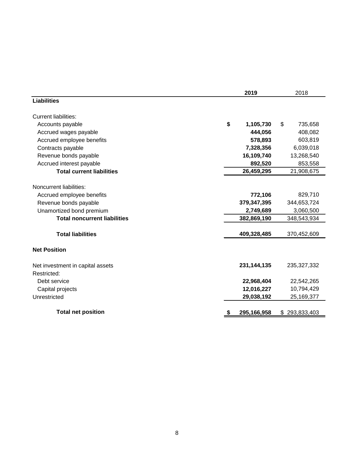|                                     | 2019                     | 2018                     |
|-------------------------------------|--------------------------|--------------------------|
| <b>Liabilities</b>                  |                          |                          |
| <b>Current liabilities:</b>         |                          |                          |
| Accounts payable                    | \$<br>1,105,730          | \$<br>735,658            |
| Accrued wages payable               | 444,056                  | 408,082                  |
| Accrued employee benefits           | 578,893                  | 603,819                  |
| Contracts payable                   | 7,328,356                | 6,039,018                |
| Revenue bonds payable               | 16,109,740               | 13,268,540               |
| Accrued interest payable            | 892,520                  | 853,558                  |
| <b>Total current liabilities</b>    | 26,459,295               | 21,908,675               |
| Noncurrent liabilities:             |                          |                          |
| Accrued employee benefits           | 772,106                  | 829,710                  |
| Revenue bonds payable               | 379,347,395              | 344,653,724              |
| Unamortized bond premium            | 2,749,689                | 3,060,500                |
| <b>Total noncurrent liabilities</b> | 382,869,190              | 348,543,934              |
| <b>Total liabilities</b>            | 409,328,485              | 370,452,609              |
| <b>Net Position</b>                 |                          |                          |
| Net investment in capital assets    | 231, 144, 135            | 235,327,332              |
| Restricted:                         |                          |                          |
| Debt service                        | 22,968,404<br>12,016,227 | 22,542,265<br>10,794,429 |
| Capital projects<br>Unrestricted    | 29,038,192               | 25,169,377               |
|                                     |                          |                          |
| <b>Total net position</b>           | 295,166,958<br>P         | \$293,833,403            |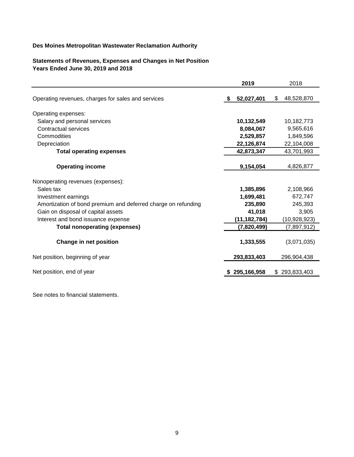# **Statements of Revenues, Expenses and Changes in Net Position Years Ended June 30, 2019 and 2018**

|                                                               | 2019            | 2018             |
|---------------------------------------------------------------|-----------------|------------------|
| Operating revenues, charges for sales and services            | 52,027,401<br>S | 48,528,870<br>\$ |
| Operating expenses:                                           |                 |                  |
| Salary and personal services                                  | 10,132,549      | 10,182,773       |
| Contractual services                                          | 8,084,067       | 9,565,616        |
| Commodities                                                   | 2,529,857       | 1,849,596        |
| Depreciation                                                  | 22,126,874      | 22,104,008       |
| <b>Total operating expenses</b>                               | 42,873,347      | 43,701,993       |
| <b>Operating income</b>                                       | 9,154,054       | 4,826,877        |
| Nonoperating revenues (expenses):                             |                 |                  |
| Sales tax                                                     | 1,385,896       | 2,108,966        |
| Investment earnings                                           | 1,699,481       | 672,747          |
| Amortization of bond premium and deferred charge on refunding | 235,890         | 245,393          |
| Gain on disposal of capital assets                            | 41,018          | 3,905            |
| Interest and bond issuance expense                            | (11,182,784)    | (10,928,923)     |
| <b>Total nonoperating (expenses)</b>                          | (7,820,499)     | (7,897,912)      |
| <b>Change in net position</b>                                 | 1,333,555       | (3,071,035)      |
| Net position, beginning of year                               | 293,833,403     | 296,904,438      |
| Net position, end of year                                     | 295,166,958     | \$293,833,403    |

See notes to financial statements.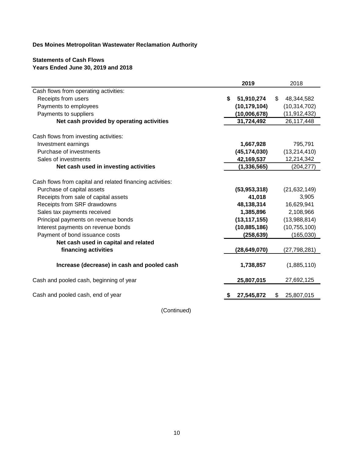# **Statements of Cash Flows Years Ended June 30, 2019 and 2018**

|                                                           | 2019             | 2018             |
|-----------------------------------------------------------|------------------|------------------|
| Cash flows from operating activities:                     |                  |                  |
| Receipts from users                                       | 51,910,274<br>\$ | \$<br>48,344,582 |
| Payments to employees                                     | (10, 179, 104)   | (10, 314, 702)   |
| Payments to suppliers                                     | (10,006,678)     | (11, 912, 432)   |
| Net cash provided by operating activities                 | 31,724,492       | 26,117,448       |
| Cash flows from investing activities:                     |                  |                  |
| Investment earnings                                       | 1,667,928        | 795,791          |
| Purchase of investments                                   | (45, 174, 030)   | (13, 214, 410)   |
| Sales of investments                                      | 42,169,537       | 12,214,342       |
| Net cash used in investing activities                     | (1, 336, 565)    | (204, 277)       |
| Cash flows from capital and related financing activities: |                  |                  |
| Purchase of capital assets                                | (53,953,318)     | (21, 632, 149)   |
| Receipts from sale of capital assets                      | 41,018           | 3,905            |
| Receipts from SRF drawdowns                               | 48,138,314       | 16,629,941       |
| Sales tax payments received                               | 1,385,896        | 2,108,966        |
| Principal payments on revenue bonds                       | (13, 117, 155)   | (13,988,814)     |
| Interest payments on revenue bonds                        | (10, 885, 186)   | (10, 755, 100)   |
| Payment of bond issuance costs                            | (258, 639)       | (165, 030)       |
| Net cash used in capital and related                      |                  |                  |
| financing activities                                      | (28, 649, 070)   | (27, 798, 281)   |
| Increase (decrease) in cash and pooled cash               | 1,738,857        | (1,885,110)      |
| Cash and pooled cash, beginning of year                   | 25,807,015       | 27,692,125       |
| Cash and pooled cash, end of year                         | 27,545,872       | 25,807,015<br>\$ |

(Continued)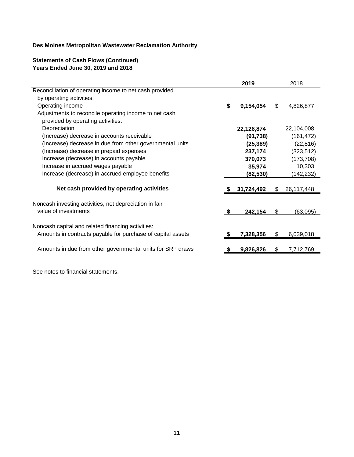# **Statements of Cash Flows (Continued) Years Ended June 30, 2019 and 2018**

|                                                             | 2019            |    | 2018       |
|-------------------------------------------------------------|-----------------|----|------------|
| Reconciliation of operating income to net cash provided     |                 |    |            |
| by operating activities:                                    |                 |    |            |
| Operating income                                            | \$<br>9,154,054 | \$ | 4,826,877  |
| Adjustments to reconcile operating income to net cash       |                 |    |            |
| provided by operating activities:                           |                 |    |            |
| Depreciation                                                | 22,126,874      |    | 22,104,008 |
| (Increase) decrease in accounts receivable                  | (91, 738)       |    | (161, 472) |
| (Increase) decrease in due from other governmental units    | (25, 389)       |    | (22, 816)  |
| (Increase) decrease in prepaid expenses                     | 237,174         |    | (323, 512) |
| Increase (decrease) in accounts payable                     | 370,073         |    | (173, 708) |
| Increase in accrued wages payable                           | 35,974          |    | 10,303     |
| Increase (decrease) in accrued employee benefits            | (82, 530)       |    | (142, 232) |
|                                                             |                 |    |            |
| Net cash provided by operating activities                   | 31,724,492      | S. | 26,117,448 |
|                                                             |                 |    |            |
| Noncash investing activities, net depreciation in fair      |                 |    |            |
| value of investments                                        | 242,154         | \$ | (63,095)   |
|                                                             |                 |    |            |
| Noncash capital and related financing activities:           |                 |    |            |
| Amounts in contracts payable for purchase of capital assets | 7,328,356       | \$ | 6,039,018  |
|                                                             |                 |    |            |
| Amounts in due from other governmental units for SRF draws  | 9,826,826       | \$ | 7,712,769  |
|                                                             |                 |    |            |

See notes to financial statements.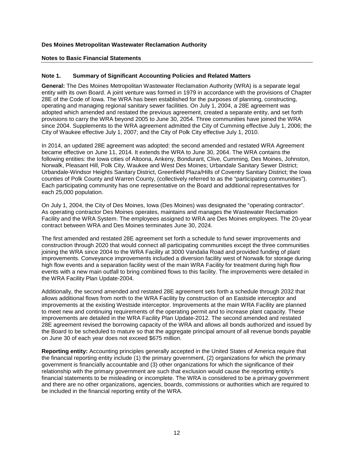## **Notes to Basic Financial Statements**

## **Note 1. Summary of Significant Accounting Policies and Related Matters**

**General:** The Des Moines Metropolitan Wastewater Reclamation Authority (WRA) is a separate legal entity with its own Board. A joint venture was formed in 1979 in accordance with the provisions of Chapter 28E of the Code of Iowa. The WRA has been established for the purposes of planning, constructing, operating and managing regional sanitary sewer facilities. On July 1, 2004, a 28E agreement was adopted which amended and restated the previous agreement, created a separate entity, and set forth provisions to carry the WRA beyond 2005 to June 30, 2054. Three communities have joined the WRA since 2004. Supplements to the WRA agreement admitted the City of Cumming effective July 1, 2006; the City of Waukee effective July 1, 2007; and the City of Polk City effective July 1, 2010.

In 2014, an updated 28E agreement was adopted: the second amended and restated WRA Agreement became effective on June 11, 2014. It extends the WRA to June 30, 2064. The WRA contains the following entities: the Iowa cities of Altoona, Ankeny, Bondurant, Clive, Cumming, Des Moines, Johnston, Norwalk, Pleasant Hill, Polk City, Waukee and West Des Moines; Urbandale Sanitary Sewer District; Urbandale-Windsor Heights Sanitary District, Greenfield Plaza/Hills of Coventry Sanitary District; the Iowa counties of Polk County and Warren County, (collectively referred to as the "participating communities"). Each participating community has one representative on the Board and additional representatives for each 25,000 population.

On July 1, 2004, the City of Des Moines, Iowa (Des Moines) was designated the "operating contractor". As operating contractor Des Moines operates, maintains and manages the Wastewater Reclamation Facility and the WRA System. The employees assigned to WRA are Des Moines employees. The 20-year contract between WRA and Des Moines terminates June 30, 2024.

The first amended and restated 28E agreement set forth a schedule to fund sewer improvements and construction through 2020 that would connect all participating communities except the three communities joining the WRA since 2004 to the WRA Facility at 3000 Vandalia Road and provided funding of plant improvements. Conveyance improvements included a diversion facility west of Norwalk for storage during high flow events and a separation facility west of the main WRA Facility for treatment during high flow events with a new main outfall to bring combined flows to this facility. The improvements were detailed in the WRA Facility Plan Update-2004.

Additionally, the second amended and restated 28E agreement sets forth a schedule through 2032 that allows additional flows from north to the WRA Facility by construction of an Eastside interceptor and improvements at the existing Westside interceptor. Improvements at the main WRA Facility are planned to meet new and continuing requirements of the operating permit and to increase plant capacity. These improvements are detailed in the WRA Facility Plan Update-2012. The second amended and restated 28E agreement revised the borrowing capacity of the WRA and allows all bonds authorized and issued by the Board to be scheduled to mature so that the aggregate principal amount of all revenue bonds payable on June 30 of each year does not exceed \$675 million.

**Reporting entity:** Accounting principles generally accepted in the United States of America require that the financial reporting entity include (1) the primary government, (2) organizations for which the primary government is financially accountable and (3) other organizations for which the significance of their relationship with the primary government are such that exclusion would cause the reporting entity's financial statements to be misleading or incomplete. The WRA is considered to be a primary government and there are no other organizations, agencies, boards, commissions or authorities which are required to be included in the financial reporting entity of the WRA.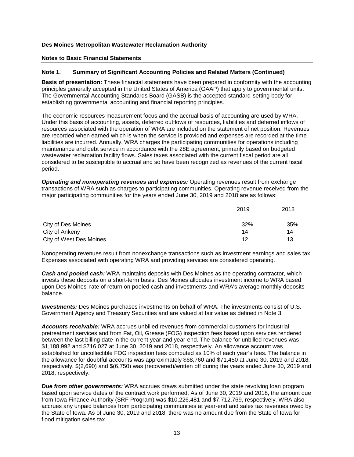## **Notes to Basic Financial Statements**

## **Note 1. Summary of Significant Accounting Policies and Related Matters (Continued)**

**Basis of presentation:** These financial statements have been prepared in conformity with the accounting principles generally accepted in the United States of America (GAAP) that apply to governmental units. The Governmental Accounting Standards Board (GASB) is the accepted standard-setting body for establishing governmental accounting and financial reporting principles.

The economic resources measurement focus and the accrual basis of accounting are used by WRA. Under this basis of accounting, assets, deferred outflows of resources, liabilities and deferred inflows of resources associated with the operation of WRA are included on the statement of net position. Revenues are recorded when earned which is when the service is provided and expenses are recorded at the time liabilities are incurred. Annually, WRA charges the participating communities for operations including maintenance and debt service in accordance with the 28E agreement, primarily based on budgeted wastewater reclamation facility flows. Sales taxes associated with the current fiscal period are all considered to be susceptible to accrual and so have been recognized as revenues of the current fiscal period.

*Operating and nonoperating revenues and expenses:* Operating revenues result from exchange transactions of WRA such as charges to participating communities. Operating revenue received from the major participating communities for the years ended June 30, 2019 and 2018 are as follows:

|                         | 2019 | 2018 |
|-------------------------|------|------|
|                         |      |      |
| City of Des Moines      | 32%  | 35%  |
| City of Ankeny          | 14   | 14   |
| City of West Des Moines | 12   | 13   |

Nonoperating revenues result from nonexchange transactions such as investment earnings and sales tax. Expenses associated with operating WRA and providing services are considered operating.

*Cash and pooled cash:* WRA maintains deposits with Des Moines as the operating contractor, which invests these deposits on a short-term basis. Des Moines allocates investment income to WRA based upon Des Moines' rate of return on pooled cash and investments and WRA's average monthly deposits balance.

*Investments:* Des Moines purchases investments on behalf of WRA. The investments consist of U.S. Government Agency and Treasury Securities and are valued at fair value as defined in Note 3.

*Accounts receivable:* WRA accrues unbilled revenues from commercial customers for industrial pretreatment services and from Fat, Oil, Grease (FOG) inspection fees based upon services rendered between the last billing date in the current year and year-end. The balance for unbilled revenues was \$1,188,992 and \$716,027 at June 30, 2019 and 2018, respectively. An allowance account was established for uncollectible FOG inspection fees computed as 10% of each year's fees. The balance in the allowance for doubtful accounts was approximately \$68,760 and \$71,450 at June 30, 2019 and 2018, respectively. \$(2,690) and \$(6,750) was (recovered)/written off during the years ended June 30, 2019 and 2018, respectively.

*Due from other governments:* WRA accrues draws submitted under the state revolving loan program based upon service dates of the contract work performed. As of June 30, 2019 and 2018, the amount due from Iowa Finance Authority (SRF Program) was \$10,226,481 and \$7,712,769, respectively. WRA also accrues any unpaid balances from participating communities at year-end and sales tax revenues owed by the State of Iowa. As of June 30, 2019 and 2018, there was no amount due from the State of Iowa for flood mitigation sales tax.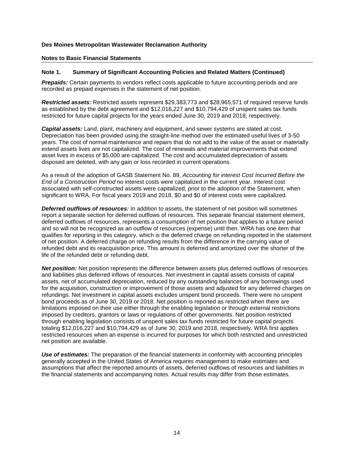## **Notes to Basic Financial Statements**

## **Note 1. Summary of Significant Accounting Policies and Related Matters (Continued)**

*Prepaids:* Certain payments to vendors reflect costs applicable to future accounting periods and are recorded as prepaid expenses in the statement of net position.

*Restricted assets:* Restricted assets represent \$29,383,773 and \$28,965,571 of required reserve funds as established by the debt agreement and \$12,016,227 and \$10,794,429 of unspent sales tax funds restricted for future capital projects for the years ended June 30, 2019 and 2018, respectively.

*Capital assets:* Land, plant, machinery and equipment, and sewer systems are stated at cost. Depreciation has been provided using the straight-line method over the estimated useful lives of 3-50 years. The cost of normal maintenance and repairs that do not add to the value of the asset or materially extend assets lives are not capitalized. The cost of renewals and material improvements that extend asset lives in excess of \$5,000 are capitalized. The cost and accumulated depreciation of assets disposed are deleted, with any gain or loss recorded in current operations.

As a result of the adoption of GASB Statement No. 89, *Accounting for interest Cost Incurred Before the End of a Construction Period* no interest costs were capitalized in the current year. Interest cost associated with self-constructed assets were capitalized, prior to the adoption of the Statement, when significant to WRA. For fiscal years 2019 and 2018, \$0 and \$0 of interest costs were capitalized.

*Deferred outflows of resources:* In addition to assets, the statement of net position will sometimes report a separate section for deferred outflows of resources. This separate financial statement element, deferred outflows of resources, represents a consumption of net position that applies to a future period and so will not be recognized as an outflow of resources (expense) until then. WRA has one item that qualifies for reporting in this category, which is the deferred charge on refunding reported in the statement of net position. A deferred charge on refunding results from the difference in the carrying value of refunded debt and its reacquisition price. This amount is deferred and amortized over the shorter of the life of the refunded debt or refunding debt.

*Net position:* Net position represents the difference between assets plus deferred outflows of resources and liabilities plus deferred inflows of resources. Net investment in capital assets consists of capital assets, net of accumulated depreciation, reduced by any outstanding balances of any borrowings used for the acquisition, construction or improvement of those assets and adjusted for any deferred charges on refundings. Net investment in capital assets excludes unspent bond proceeds. There were no unspent bond proceeds as of June 30, 2019 or 2018. Net position is reported as restricted when there are limitations imposed on their use either through the enabling legislation or through external restrictions imposed by creditors, grantors or laws or regulations of other governments. Net position restricted through enabling legislation consists of unspent sales tax funds restricted for future capital projects totaling \$12,016,227 and \$10,794,429 as of June 30, 2019 and 2018, respectively. WRA first applies restricted resources when an expense is incurred for purposes for which both restricted and unrestricted net position are available.

*Use of estimates:* The preparation of the financial statements in conformity with accounting principles generally accepted in the United States of America requires management to make estimates and assumptions that affect the reported amounts of assets, deferred outflows of resources and liabilities in the financial statements and accompanying notes. Actual results may differ from those estimates.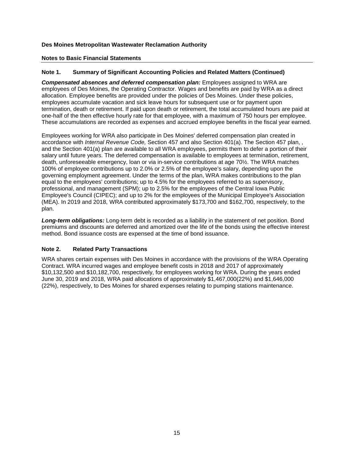## **Notes to Basic Financial Statements**

## **Note 1. Summary of Significant Accounting Policies and Related Matters (Continued)**

*Compensated absences and deferred compensation plan:* Employees assigned to WRA are employees of Des Moines, the Operating Contractor. Wages and benefits are paid by WRA as a direct allocation. Employee benefits are provided under the policies of Des Moines. Under these policies, employees accumulate vacation and sick leave hours for subsequent use or for payment upon termination, death or retirement. If paid upon death or retirement, the total accumulated hours are paid at one-half of the then effective hourly rate for that employee, with a maximum of 750 hours per employee. These accumulations are recorded as expenses and accrued employee benefits in the fiscal year earned.

Employees working for WRA also participate in Des Moines' deferred compensation plan created in accordance with *Internal Revenue Code,* Section 457 and also Section 401(a). The Section 457 plan, , and the Section 401(a) plan are available to all WRA employees, permits them to defer a portion of their salary until future years. The deferred compensation is available to employees at termination, retirement, death, unforeseeable emergency, loan or via in-service contributions at age 70½. The WRA matches 100% of employee contributions up to 2.0% or 2.5% of the employee's salary, depending upon the governing employment agreement. Under the terms of the plan, WRA makes contributions to the plan equal to the employees' contributions; up to 4.5% for the employees referred to as supervisory, professional, and management (SPM); up to 2.5% for the employees of the Central Iowa Public Employee's Council (CIPEC); and up to 2% for the employees of the Municipal Employee's Association (MEA). In 2019 and 2018, WRA contributed approximately \$173,700 and \$162,700, respectively, to the plan.

*Long-term obligations:* Long-term debt is recorded as a liability in the statement of net position. Bond premiums and discounts are deferred and amortized over the life of the bonds using the effective interest method. Bond issuance costs are expensed at the time of bond issuance.

## **Note 2. Related Party Transactions**

WRA shares certain expenses with Des Moines in accordance with the provisions of the WRA Operating Contract. WRA incurred wages and employee benefit costs in 2018 and 2017 of approximately \$10,132,500 and \$10,182,700, respectively, for employees working for WRA. During the years ended June 30, 2019 and 2018, WRA paid allocations of approximately \$1,467,000(22%) and \$1,646,000 (22%), respectively, to Des Moines for shared expenses relating to pumping stations maintenance.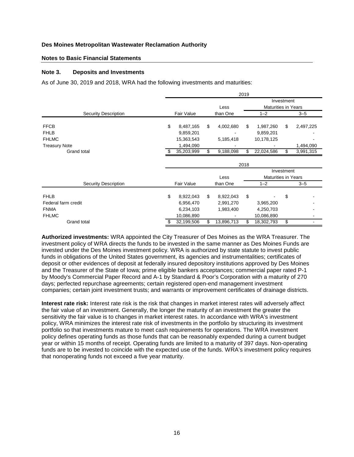## **Notes to Basic Financial Statements**

## **Note 3. Deposits and Investments**

As of June 30, 2019 and 2018, WRA had the following investments and maturities:

|                             | 2019 |            |          |            |    |                            |            |           |  |
|-----------------------------|------|------------|----------|------------|----|----------------------------|------------|-----------|--|
|                             |      |            |          | Less       |    | <b>Maturities in Years</b> | Investment |           |  |
| Security Description        |      | Fair Value | than One |            |    | $1 - 2$                    |            | $3 - 5$   |  |
| <b>FFCB</b>                 | \$   | 8,487,165  | \$       | 4,002,680  | \$ | 1,987,260                  | \$         | 2,497,225 |  |
| <b>FHLB</b>                 |      | 9,859,201  |          |            |    | 9,859,201                  |            |           |  |
| <b>FHLMC</b>                |      | 15,363,543 |          | 5,185,418  |    | 10,178,125                 |            |           |  |
| <b>Treasury Note</b>        |      | 1,494,090  |          |            |    |                            |            | 1,494,090 |  |
| <b>Grand total</b>          |      | 35,203,999 | \$       | 9,188,098  | S  | 22,024,586                 | \$         | 3,991,315 |  |
|                             | 2018 |            |          |            |    |                            |            |           |  |
|                             |      |            |          |            |    |                            | Investment |           |  |
|                             |      |            |          | Less       |    | <b>Maturities in Years</b> |            |           |  |
| <b>Security Description</b> |      | Fair Value |          | than One   |    | $1 - 2$                    |            | $3 - 5$   |  |
| <b>FHLB</b>                 | \$   | 8,922,043  | \$       | 8,922,043  | \$ |                            | \$         |           |  |
| Federal farm credit         |      | 6,956,470  |          | 2,991,270  |    | 3,965,200                  |            |           |  |
| <b>FNMA</b>                 |      | 6,234,103  |          | 1,983,400  |    | 4,250,703                  |            |           |  |
| <b>FHLMC</b>                |      | 10,086,890 |          |            |    | 10,086,890                 |            |           |  |
| Grand total                 |      | 32,199,506 | \$       | 13,896,713 | S  | 18,302,793                 | \$         |           |  |

**Authorized investments:** WRA appointed the City Treasurer of Des Moines as the WRA Treasurer. The investment policy of WRA directs the funds to be invested in the same manner as Des Moines Funds are invested under the Des Moines investment policy. WRA is authorized by state statute to invest public funds in obligations of the United States government, its agencies and instrumentalities; certificates of deposit or other evidences of deposit at federally insured depository institutions approved by Des Moines and the Treasurer of the State of Iowa; prime eligible bankers acceptances; commercial paper rated P-1 by Moody's Commercial Paper Record and A-1 by Standard & Poor's Corporation with a maturity of 270 days; perfected repurchase agreements; certain registered open-end management investment companies; certain joint investment trusts; and warrants or improvement certificates of drainage districts.

**Interest rate risk:** Interest rate risk is the risk that changes in market interest rates will adversely affect the fair value of an investment. Generally, the longer the maturity of an investment the greater the sensitivity the fair value is to changes in market interest rates. In accordance with WRA's investment policy, WRA minimizes the interest rate risk of investments in the portfolio by structuring its investment portfolio so that investments mature to meet cash requirements for operations. The WRA investment policy defines operating funds as those funds that can be reasonably expended during a current budget year or within 15 months of receipt. Operating funds are limited to a maturity of 397 days. Non-operating funds are to be invested to coincide with the expected use of the funds. WRA's investment policy requires that nonoperating funds not exceed a five year maturity.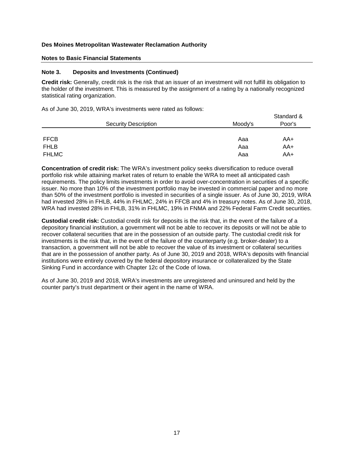#### **Notes to Basic Financial Statements**

## **Note 3. Deposits and Investments (Continued)**

**Credit risk:** Generally, credit risk is the risk that an issuer of an investment will not fulfill its obligation to the holder of the investment. This is measured by the assignment of a rating by a nationally recognized statistical rating organization.

As of June 30, 2019, WRA's investments were rated as follows:

|             |                      |         | Standard & |
|-------------|----------------------|---------|------------|
|             | Security Description | Moody's | Poor's     |
|             |                      |         |            |
| <b>FFCB</b> |                      | Aaa     | AA+        |
| <b>FHLB</b> |                      | Aaa     | AA+        |
| FHLMC       |                      | Aaa     | AA+        |

Standard &

**Concentration of credit risk:** The WRA's investment policy seeks diversification to reduce overall portfolio risk while attaining market rates of return to enable the WRA to meet all anticipated cash requirements. The policy limits investments in order to avoid over-concentration in securities of a specific issuer. No more than 10% of the investment portfolio may be invested in commercial paper and no more than 50% of the investment portfolio is invested in securities of a single issuer. As of June 30, 2019, WRA had invested 28% in FHLB, 44% in FHLMC, 24% in FFCB and 4% in treasury notes. As of June 30, 2018, WRA had invested 28% in FHLB, 31% in FHLMC, 19% in FNMA and 22% Federal Farm Credit securities.

**Custodial credit risk:** Custodial credit risk for deposits is the risk that, in the event of the failure of a depository financial institution, a government will not be able to recover its deposits or will not be able to recover collateral securities that are in the possession of an outside party. The custodial credit risk for investments is the risk that, in the event of the failure of the counterparty (e.g. broker-dealer) to a transaction, a government will not be able to recover the value of its investment or collateral securities that are in the possession of another party. As of June 30, 2019 and 2018, WRA's deposits with financial institutions were entirely covered by the federal depository insurance or collateralized by the State Sinking Fund in accordance with Chapter 12c of the Code of Iowa.

As of June 30, 2019 and 2018, WRA's investments are unregistered and uninsured and held by the counter party's trust department or their agent in the name of WRA.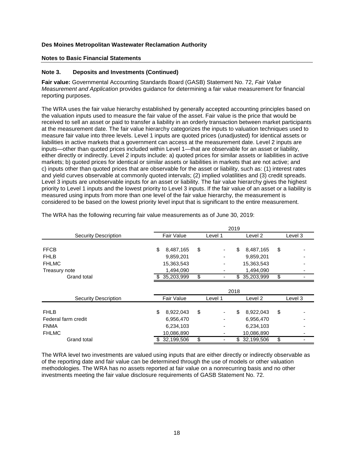## **Notes to Basic Financial Statements**

## **Note 3. Deposits and Investments (Continued)**

**Fair value:** Governmental Accounting Standards Board (GASB) Statement No. 72, *Fair Value Measurement and Application* provides guidance for determining a fair value measurement for financial reporting purposes.

The WRA uses the fair value hierarchy established by generally accepted accounting principles based on the valuation inputs used to measure the fair value of the asset. Fair value is the price that would be received to sell an asset or paid to transfer a liability in an orderly transaction between market participants at the measurement date. The fair value hierarchy categorizes the inputs to valuation techniques used to measure fair value into three levels. Level 1 inputs are quoted prices (unadjusted) for identical assets or liabilities in active markets that a government can access at the measurement date. Level 2 inputs are inputs—other than quoted prices included within Level 1—that are observable for an asset or liability, either directly or indirectly. Level 2 inputs include: a) quoted prices for similar assets or liabilities in active markets; b) quoted prices for identical or similar assets or liabilities in markets that are not active; and c) inputs other than quoted prices that are observable for the asset or liability, such as: (1) interest rates and yield curves observable at commonly quoted intervals; (2) implied volatilities and (3) credit spreads. Level 3 inputs are unobservable inputs for an asset or liability. The fair value hierarchy gives the highest priority to Level 1 inputs and the lowest priority to Level 3 inputs. If the fair value of an asset or a liability is measured using inputs from more than one level of the fair value hierarchy, the measurement is considered to be based on the lowest priority level input that is significant to the entire measurement.

|                             | 2019              |         |                  |         |  |
|-----------------------------|-------------------|---------|------------------|---------|--|
| Security Description        | <b>Fair Value</b> | Level 1 | Level 2          | Level 3 |  |
| <b>FFCB</b>                 | \$<br>8,487,165   | \$      | \$<br>8,487,165  | \$      |  |
| <b>FHLB</b>                 | 9,859,201         |         | 9,859,201        |         |  |
| <b>FHLMC</b>                | 15,363,543        | ٠       | 15,363,543       |         |  |
| Treasury note               | 1,494,090         |         | 1,494,090        |         |  |
| <b>Grand total</b>          | 35,203,999        | \$      | 35,203,999<br>\$ | \$      |  |
|                             |                   |         | 2018             |         |  |
| <b>Security Description</b> | <b>Fair Value</b> | Level 1 | Level 2          | Level 3 |  |
| <b>FHLB</b>                 | \$<br>8,922,043   | \$      | \$<br>8,922,043  | \$      |  |
| Federal farm credit         | 6,956,470         |         | 6,956,470        |         |  |
| <b>FNMA</b>                 | 6,234,103         |         | 6,234,103        |         |  |
| <b>FHLMC</b>                | 10,086,890        | -       | 10,086,890       |         |  |
| <b>Grand total</b>          | 32,199,506        | \$<br>- | 32,199,506<br>\$ | \$      |  |

The WRA has the following recurring fair value measurements as of June 30, 2019:

The WRA level two investments are valued using inputs that are either directly or indirectly observable as of the reporting date and fair value can be determined through the use of models or other valuation methodologies. The WRA has no assets reported at fair value on a nonrecurring basis and no other investments meeting the fair value disclosure requirements of GASB Statement No. 72.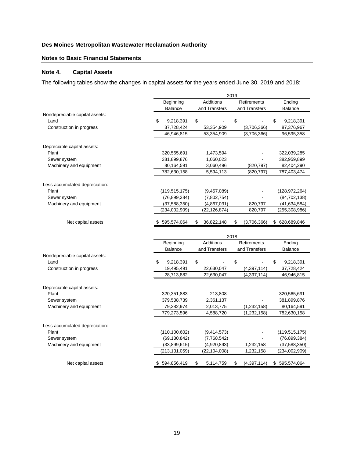## **Notes to Basic Financial Statements**

## **Note 4. Capital Assets**

The following tables show the changes in capital assets for the years ended June 30, 2019 and 2018:

|                                        | 2019                        |                  |                              |                          |  |  |  |
|----------------------------------------|-----------------------------|------------------|------------------------------|--------------------------|--|--|--|
|                                        | Beginning                   | <b>Additions</b> | <b>Retirements</b>           | Ending                   |  |  |  |
|                                        | <b>Balance</b>              | and Transfers    | and Transfers                | <b>Balance</b>           |  |  |  |
| Nondepreciable capital assets:         |                             |                  |                              |                          |  |  |  |
| Land                                   | \$<br>9,218,391             | \$               | \$                           | \$<br>9,218,391          |  |  |  |
| Construction in progress               | 37,728,424                  | 53,354,909       | (3,706,366)                  | 87,376,967               |  |  |  |
|                                        | 46,946,815                  | 53,354,909       | (3,706,366)                  | 96,595,358               |  |  |  |
|                                        |                             |                  |                              |                          |  |  |  |
| Depreciable capital assets:            |                             |                  |                              |                          |  |  |  |
| Plant                                  | 320,565,691                 | 1,473,594        |                              | 322,039,285              |  |  |  |
| Sewer system                           | 381,899,876                 | 1,060,023        |                              | 382,959,899              |  |  |  |
| Machinery and equipment                | 80,164,591                  | 3,060,496        | (820, 797)                   | 82,404,290               |  |  |  |
|                                        | 782,630,158                 | 5,594,113        | (820, 797)                   | 787,403,474              |  |  |  |
| Less accumulated depreciation:         |                             |                  |                              |                          |  |  |  |
| Plant                                  | (119, 515, 175)             | (9,457,089)      |                              | (128, 972, 264)          |  |  |  |
| Sewer system                           | (76, 899, 384)              | (7,802,754)      |                              | (84, 702, 138)           |  |  |  |
| Machinery and equipment                |                             | (4,867,031)      | 820,797                      | (41,634,584)             |  |  |  |
|                                        | (37,588,350)                |                  |                              |                          |  |  |  |
|                                        | (234,002,909)               | (22, 126, 874)   | 820,797                      | (255, 308, 986)          |  |  |  |
| Net capital assets                     | 595,574,064                 | \$<br>36,822,148 | \$<br>(3,706,366)            | \$ 628,689,846           |  |  |  |
|                                        |                             | 2018             |                              |                          |  |  |  |
|                                        |                             |                  |                              |                          |  |  |  |
|                                        |                             | <b>Additions</b> | <b>Retirements</b>           |                          |  |  |  |
|                                        | Beginning<br><b>Balance</b> | and Transfers    | and Transfers                | Ending<br><b>Balance</b> |  |  |  |
|                                        |                             |                  |                              |                          |  |  |  |
| Nondepreciable capital assets:<br>Land | \$<br>9,218,391             | \$               |                              | \$<br>9,218,391          |  |  |  |
| Construction in progress               | 19,495,491                  | 22,630,047       | \$                           |                          |  |  |  |
|                                        | 28,713,882                  | 22,630,047       | (4, 397, 114)<br>(4,397,114) | 37,728,424<br>46,946,815 |  |  |  |
|                                        |                             |                  |                              |                          |  |  |  |
| Depreciable capital assets:            |                             |                  |                              |                          |  |  |  |
| Plant                                  | 320,351,883                 | 213,808          |                              | 320,565,691              |  |  |  |
| Sewer system                           | 379,538,739                 | 2,361,137        |                              | 381,899,876              |  |  |  |
| Machinery and equipment                | 79,382,974                  | 2,013,775        | (1,232,158)                  | 80,164,591               |  |  |  |
|                                        | 779,273,596                 | 4,588,720        | (1,232,158)                  | 782,630,158              |  |  |  |
|                                        |                             |                  |                              |                          |  |  |  |
| Less accumulated depreciation:         |                             |                  |                              |                          |  |  |  |
| Plant                                  | (110, 100, 602)             | (9,414,573)      |                              | (119, 515, 175)          |  |  |  |
| Sewer system                           | (69, 130, 842)              | (7,768,542)      |                              | (76, 899, 384)           |  |  |  |
| Machinery and equipment                | (33,899,615)                | (4,920,893)      | 1,232,158                    | (37,588,350)             |  |  |  |
|                                        | (213, 131, 059)             | (22, 104, 008)   | 1,232,158                    | (234,002,909)            |  |  |  |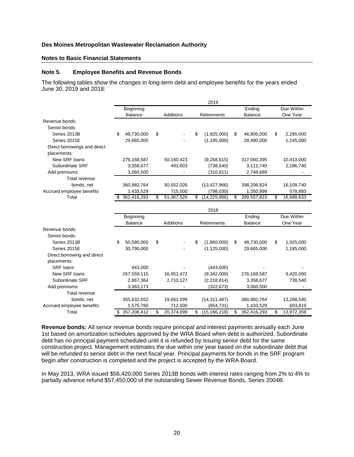#### **Notes to Basic Financial Statements**

## **Note 5. Employee Benefits and Revenue Bonds**

The following tables show the changes in long-term debt and employee benefits for the years ended June 30, 2019 and 2018:

|                              | 2019           |                |           |            |             |                |                |             |            |            |
|------------------------------|----------------|----------------|-----------|------------|-------------|----------------|----------------|-------------|------------|------------|
|                              | Beginning      |                |           |            |             |                | Ending         |             | Due Within |            |
|                              | <b>Balance</b> |                | Additions |            | Retirements |                | <b>Balance</b> |             | One Year   |            |
| Revenue bonds:               |                |                |           |            |             |                |                |             |            |            |
| Senior bonds:                |                |                |           |            |             |                |                |             |            |            |
| Series 2013B                 | \$             | 48,730,000     | \$        |            | \$          | (1,925,000)    | \$             | 46,805,000  | \$         | 2,265,000  |
| Series 2015E                 |                | 29,665,000     |           |            |             | (1, 185, 000)  |                | 28,480,000  |            | 1,245,000  |
| Direct borrowings and direct |                |                |           |            |             |                |                |             |            |            |
| placements:                  |                |                |           |            |             |                |                |             |            |            |
| New SRF loans                |                | 276,168,587    |           | 50,160,423 |             | (9, 268, 615)  |                | 317,060,395 |            | 10,413,000 |
| Subordinate SRF              | 3,358,677      |                |           | 491,603    |             | (738, 540)     |                | 3,111,740   |            | 2,186,740  |
| Add premiums                 | 3,060,500      |                |           |            | (310, 811)  |                | 2,749,689      |             |            |            |
| Total revenue                |                |                |           |            |             |                |                |             |            |            |
| bonds, net                   |                | 360,982,764    |           | 50,652,026 |             | (13, 427, 966) |                | 398,206,824 |            | 16,109,740 |
| Accrued employee benefits    |                | 1,433,529      |           | 715,500    |             | (798, 030)     |                | 1,350,999   |            | 578,893    |
| Total                        |                | 362,416,293    | \$        | 51,367,526 | \$          | (14, 225, 996) | \$             | 399,557,823 | \$         | 16,688,633 |
|                              |                |                |           |            |             |                |                |             |            |            |
|                              |                |                |           |            | 2018        |                |                |             |            |            |
|                              | Beginning      |                |           |            |             | Ending         |                |             | Due Within |            |
|                              |                | <b>Balance</b> |           | Additions  |             | Retirements    |                | Balance     |            | One Year   |
| Revenue bonds:               |                |                |           |            |             |                |                |             |            |            |
| Senior bonds:                |                |                |           |            |             |                |                |             |            |            |
| Series 2013B                 | \$             | 50,590,000     | \$        |            | \$          | (1,860,000)    | \$             | 48,730,000  | \$         | 1,925,000  |
| Series 2015E                 |                | 30,790,000     |           |            |             | (1, 125, 000)  |                | 29,665,000  |            | 1,185,000  |
| Direct borrowing and direct  |                |                |           |            |             |                |                |             |            |            |
| placements:                  |                |                |           |            |             |                |                |             |            |            |
| <b>SRF</b> loans             |                | 443,000        |           |            |             | (443,000)      |                |             |            |            |
| New SRF loans                | 267,559,115    |                |           | 16,951,472 |             | (8,342,000)    |                | 276,168,587 |            | 9,420,000  |
| Subordinate SRF              | 2,867,364      |                |           | 2,710,127  | (2,218,814) |                | 3,358,677      |             |            | 738,540    |
| Add premiums                 | 3,383,173      |                |           |            |             | (322, 673)     |                | 3,060,500   |            |            |
| Total revenue                |                |                |           |            |             |                |                |             |            |            |
| bonds, net                   |                | 355,632,652    |           | 19,661,599 |             | (14, 311, 487) |                | 360,982,764 |            | 13,268,540 |
| Accrued employee benefits    |                | 1,575,760      |           | 712,500    |             | (854, 731)     |                | 1,433,529   |            | 603,819    |
| Total                        | \$             | 357,208,412    | \$        | 20,374,099 | \$          | (15, 166, 218) | \$             | 362,416,293 | \$         | 13,872,359 |

**Revenue bonds:** All senior revenue bonds require principal and interest payments annually each June 1st based on amortization schedules approved by the WRA Board when debt is authorized. Subordinate debt has no principal payment scheduled until it is refunded by issuing senior debt for the same construction project. Management estimates the due within one year based on the subordinate debt that will be refunded to senior debt in the next fiscal year. Principal payments for bonds in the SRF program begin after construction is completed and the project is accepted by the WRA Board.

In May 2013, WRA issued \$56,420,000 Series 2013B bonds with interest rates ranging from 2% to 4% to partially advance refund \$57,450,000 of the outstanding Sewer Revenue Bonds, Series 2004B.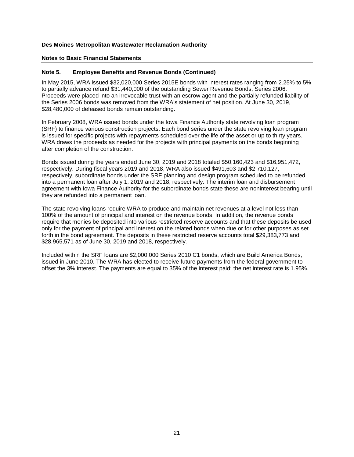## **Notes to Basic Financial Statements**

## **Note 5. Employee Benefits and Revenue Bonds (Continued)**

In May 2015, WRA issued \$32,020,000 Series 2015E bonds with interest rates ranging from 2.25% to 5% to partially advance refund \$31,440,000 of the outstanding Sewer Revenue Bonds, Series 2006. Proceeds were placed into an irrevocable trust with an escrow agent and the partially refunded liability of the Series 2006 bonds was removed from the WRA's statement of net position. At June 30, 2019, \$28,480,000 of defeased bonds remain outstanding.

In February 2008, WRA issued bonds under the Iowa Finance Authority state revolving loan program (SRF) to finance various construction projects. Each bond series under the state revolving loan program is issued for specific projects with repayments scheduled over the life of the asset or up to thirty years. WRA draws the proceeds as needed for the projects with principal payments on the bonds beginning after completion of the construction.

Bonds issued during the years ended June 30, 2019 and 2018 totaled \$50,160,423 and \$16,951,472, respectively. During fiscal years 2019 and 2018, WRA also issued \$491,603 and \$2,710,127, respectively, subordinate bonds under the SRF planning and design program scheduled to be refunded into a permanent loan after July 1, 2019 and 2018, respectively. The interim loan and disbursement agreement with Iowa Finance Authority for the subordinate bonds state these are noninterest bearing until they are refunded into a permanent loan.

The state revolving loans require WRA to produce and maintain net revenues at a level not less than 100% of the amount of principal and interest on the revenue bonds. In addition, the revenue bonds require that monies be deposited into various restricted reserve accounts and that these deposits be used only for the payment of principal and interest on the related bonds when due or for other purposes as set forth in the bond agreement. The deposits in these restricted reserve accounts total \$29,383,773 and \$28,965,571 as of June 30, 2019 and 2018, respectively.

Included within the SRF loans are \$2,000,000 Series 2010 C1 bonds, which are Build America Bonds, issued in June 2010. The WRA has elected to receive future payments from the federal government to offset the 3% interest. The payments are equal to 35% of the interest paid; the net interest rate is 1.95%.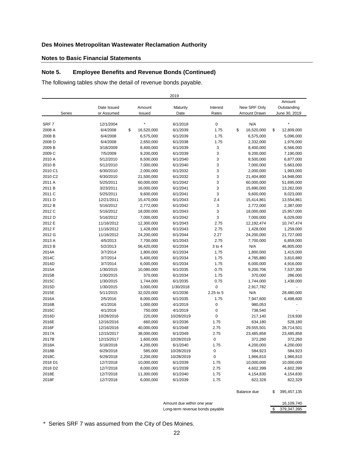## **Notes to Basic Financial Statements**

## **Note 5. Employee Benefits and Revenue Bonds (Continued)**

The following tables show the detail of revenue bonds payable.

|                     |             |                  | 2019                       |             |                  |                   |
|---------------------|-------------|------------------|----------------------------|-------------|------------------|-------------------|
|                     |             |                  |                            |             |                  | Amount            |
|                     | Date Issued | Amount           | Maturity                   | Interest    | New SRF Only     | Outstanding       |
| Series              | or Assumed  | Issued           | Date                       | Rates       | Amount Drawn     | June 30, 2019     |
|                     |             | $\star$          |                            |             |                  |                   |
| SRF <sub>7</sub>    | 12/1/2004   |                  | 6/1/2018                   | $\mathbf 0$ | N/A              |                   |
| 2008 A              | 6/4/2008    | \$<br>16,520,000 | 6/1/2039                   | 1.75        | \$<br>16,520,000 | \$<br>12,809,000  |
| 2008 B              | 6/4/2008    | 6,575,000        | 6/1/2039                   | 1.75        | 6,575,000        | 5,096,000         |
| 2008 D              | 6/4/2008    | 2,650,000        | 6/1/2038                   | 1.75        | 2,332,000        | 1,976,000         |
| 2009 B              | 3/18/2009   | 8,400,000        | 6/1/2039                   | 3           | 8,400,000        | 6,566,000         |
| 2009 C              | 7/5/2009    | 9,200,000        | 6/1/2039                   | 3           | 9,200,000        | 7,190,000         |
| 2010 A              | 5/12/2010   | 8,500,000        | 6/1/2040                   | 3           | 8,500,000        | 6,877,000         |
| 2010 B              | 5/12/2010   | 7,000,000        | 6/1/2040                   | 3           | 7,000,000        | 5,663,000         |
| 2010 C1             | 6/30/2010   | 2,000,000        | 6/1/2032                   | 3           | 2,000,000        | 1,993,000         |
| 2010 C2             | 6/30/2010   | 21,500,000       | 6/1/2032                   | 3           | 21,404,800       | 14,948,000        |
| 2011 A              | 5/25/2011   | 60,000,000       | 6/1/2042                   | 3           | 60,000,000       | 51,695,000        |
| 2011 B              | 3/23/2011   | 16,000,000       | 6/1/2041                   | 3           | 15,890,000       | 13,262,000        |
| 2011 C              | 5/25/2011   | 9,600,000        | 6/1/2041                   | 3           | 9,600,000        | 8,023,000         |
| 2011 D              | 12/21/2011  | 15,470,000       | 6/1/2043                   | 2.4         | 15,414,861       | 13,554,861        |
| 2012 B              | 5/16/2012   | 2,772,000        | 6/1/2042                   | 3           | 2,772,000        | 2,387,000         |
| 2012 C              | 5/16/2012   | 18,000,000       | 6/1/2043                   | 3           | 18,000,000       | 15,957,000        |
| 2012 D              | 5/16/2012   | 7,000,000        | 6/1/2042                   | 3           | 7,000,000        | 6,029,000         |
| 2012 E              | 11/16/2012  | 12,300,000       | 6/1/2043                   | 2.75        | 12,192,474       | 10,747,474        |
| 2012 F              | 11/16/2012  | 1,428,000        | 6/1/2043                   | 2.75        | 1,428,000        | 1,259,000         |
| 2012 G              | 11/16/2012  | 24,200,000       | 6/1/2044                   | 2.27        | 24,200,000       | 21,727,000        |
| 2013 A              | 4/5/2013    | 7,700,000        | 6/1/2043                   | 2.75        | 7,700,000        | 6,859,000         |
| 2013 B              | 5/2/2013    | 56,420,000       | 6/1/2034                   | 3 to 4      | N/A              | 46,805,000        |
| 2014A               | 3/7/2014    | 1,800,000        | 6/1/2034                   | 1.75        | 1,800,000        | 1,415,000         |
| 2014C               | 3/7/2014    | 5,400,000        | 6/1/2034                   | 1.75        | 4,785,880        | 3,810,880         |
| 2014D               | 3/7/2014    | 6,000,000        | 6/1/2034                   | 1.75        | 6,000,000        | 4,916,000         |
| 2015A               | 1/30/2015   | 10,080,000       | 6/1/2035                   | 0.75        | 9,200,706        | 7,537,300         |
| 2015B               | 1/30/2015   | 370,000          | 6/1/2034                   | 1.75        | 370,000          | 286,000           |
| 2015C               | 1/30/2015   | 1,744,000        | 6/1/2035                   | 0.75        | 1,744,000        | 1,438,000         |
| 2015D               | 1/30/2015   | 3,000,000        | 1/30/2018                  | 0           | 2,917,782        |                   |
| 2015E               | 5/11/2015   | 32,020,000       | 6/1/2036                   | 2.25 to 5   | N/A              | 28,480,000        |
| 2016A               | 2/5/2016    | 8,000,000        | 6/1/2035                   | 1.75        | 7,947,600        | 6,498,600         |
| 2016B               | 4/1/2016    | 1,000,000        | 4/1/2019                   | 0           | 980,053          |                   |
| 2016C               | 4/1/2016    | 750,000          | 4/1/2019                   | $\pmb{0}$   | 738,540          |                   |
| 2016D               | 10/28/2016  | 220,000          | 10/28/2019                 | $\pmb{0}$   | 217,140          | 219,930           |
| 2016E               | 12/16/2016  | 660,000          | 6/1/2036                   | 1.75        | 634,180          | 528,180           |
| 2016F               | 12/16/2016  | 40,000,000       | 6/1/2048                   | 2.75        | 29,555,501       | 28,714,501        |
| 2017A               | 12/15/2017  | 38,000,000       | 6/1/2049                   | 2.75        | 23,485,858       | 23,485,858        |
| 2017B               | 12/15/2017  | 1,600,000        | 10/28/2019                 | $\pmb{0}$   | 372,260          | 372,260           |
| 2018A               | 5/18/2018   | 4,200,000        | 6/1/2040                   | 1.75        | 4,200,000        | 4,200,000         |
| 2018B               | 6/29/2018   | 585,000          | 10/28/2019                 | 0           | 584,923          | 584,923           |
| 2018C               | 6/29/2018   | 2,200,000        | 10/28/2019                 | $\pmb{0}$   | 1,966,810        | 1,966,810         |
| 2018 D1             | 12/7/2018   | 10,000,000       | 6/1/2039                   | 1.75        | 10,000,000       | 10,000,000        |
| 2018 D <sub>2</sub> | 12/7/2018   | 8,000,000        | 6/1/2039                   | 2.75        | 4,602,399        | 4,602,399         |
| 2018E               | 12/7/2018   | 11,300,000       | 6/1/2040                   | 1.75        | 4,154,830        | 4,154,830         |
| 2018F               | 12/7/2018   | 6,000,000        | 6/1/2039                   | 1.75        | 822,328          | 822,329           |
|                     |             |                  |                            |             | Balance due      | \$<br>395,457,135 |
|                     |             |                  | Amount due within one year |             |                  | 16,109,740        |

Long-term revenue bonds payable<br>
\$ 379,347,395

\* Series SRF 7 was assumed from the City of Des Moines.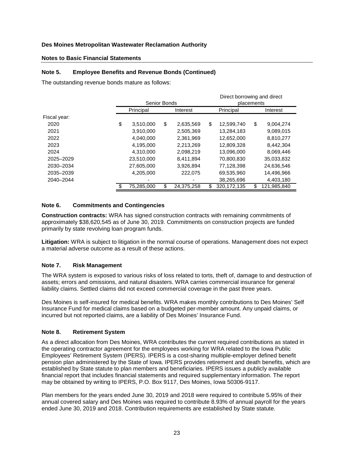## **Notes to Basic Financial Statements**

## **Note 5. Employee Benefits and Revenue Bonds (Continued)**

The outstanding revenue bonds mature as follows:

|              |                  |    |            |            | Direct borrowing and direct |    |             |  |  |  |  |
|--------------|------------------|----|------------|------------|-----------------------------|----|-------------|--|--|--|--|
|              | Senior Bonds     |    |            | placements |                             |    |             |  |  |  |  |
|              | Principal        |    | Interest   |            | Principal                   |    | Interest    |  |  |  |  |
| Fiscal year: |                  |    |            |            |                             |    |             |  |  |  |  |
| 2020         | \$<br>3,510,000  | \$ | 2,635,569  | \$         | 12,599,740                  | \$ | 9,004,274   |  |  |  |  |
| 2021         | 3,910,000        |    | 2,505,369  |            | 13,284,183                  |    | 9,089,015   |  |  |  |  |
| 2022         | 4,040,000        |    | 2,361,969  |            | 12,652,000                  |    | 8,810,277   |  |  |  |  |
| 2023         | 4,195,000        |    | 2,213,269  | 12,809,328 |                             |    | 8,442,304   |  |  |  |  |
| 2024         | 4,310,000        |    | 2,098,219  |            | 13,096,000                  |    | 8,069,446   |  |  |  |  |
| 2025-2029    | 23.510.000       |    | 8,411,894  |            | 70,800,830                  |    | 35,033,832  |  |  |  |  |
| 2030-2034    | 27,605,000       |    | 3,926,894  |            | 77,128,398                  |    | 24,636,546  |  |  |  |  |
| 2035-2039    | 4.205.000        |    | 222.075    |            | 69,535,960                  |    | 14,496,966  |  |  |  |  |
| 2040-2044    |                  |    |            |            | 38,265,696                  |    | 4,403,180   |  |  |  |  |
|              | \$<br>75,285,000 | \$ | 24,375,258 | \$         | 320, 172, 135               | \$ | 121,985,840 |  |  |  |  |

## **Note 6. Commitments and Contingencies**

**Construction contracts:** WRA has signed construction contracts with remaining commitments of approximately \$38,620,545 as of June 30, 2019. Commitments on construction projects are funded primarily by state revolving loan program funds.

**Litigation:** WRA is subject to litigation in the normal course of operations. Management does not expect a material adverse outcome as a result of these actions.

## **Note 7. Risk Management**

The WRA system is exposed to various risks of loss related to torts, theft of, damage to and destruction of assets; errors and omissions, and natural disasters. WRA carries commercial insurance for general liability claims. Settled claims did not exceed commercial coverage in the past three years.

Des Moines is self-insured for medical benefits. WRA makes monthly contributions to Des Moines' Self Insurance Fund for medical claims based on a budgeted per-member amount. Any unpaid claims, or incurred but not reported claims, are a liability of Des Moines' Insurance Fund.

## **Note 8. Retirement System**

As a direct allocation from Des Moines, WRA contributes the current required contributions as stated in the operating contractor agreement for the employees working for WRA related to the Iowa Public Employees' Retirement System (IPERS). IPERS is a cost-sharing multiple-employer defined benefit pension plan administered by the State of Iowa. IPERS provides retirement and death benefits, which are established by State statute to plan members and beneficiaries. IPERS issues a publicly available financial report that includes financial statements and required supplementary information. The report may be obtained by writing to IPERS, P.O. Box 9117, Des Moines, Iowa 50306-9117.

Plan members for the years ended June 30, 2019 and 2018 were required to contribute 5.95% of their annual covered salary and Des Moines was required to contribute 8.93% of annual payroll for the years ended June 30, 2019 and 2018. Contribution requirements are established by State statute.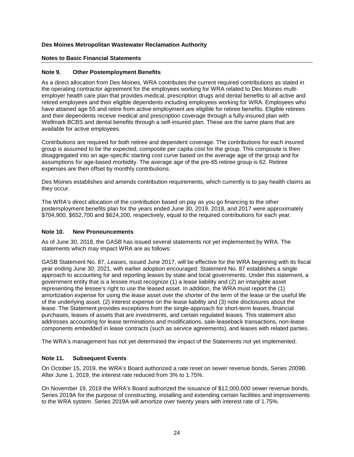## **Notes to Basic Financial Statements**

## **Note 9. Other Postemployment Benefits**

As a direct allocation from Des Moines, WRA contributes the current required contributions as stated in the operating contractor agreement for the employees working for WRA related to Des Moines multiemployer health care plan that provides medical, prescription drugs and dental benefits to all active and retired employees and their eligible dependents including employees working for WRA. Employees who have attained age 55 and retire from active employment are eligible for retiree benefits. Eligible retirees and their dependents receive medical and prescription coverage through a fully-insured plan with Wellmark BCBS and dental benefits through a self-insured plan. These are the same plans that are available for active employees.

Contributions are required for both retiree and dependent coverage. The contributions for each insured group is assumed to be the expected, composite per capita cost for the group. This composite is then disaggregated into an age-specific starting cost curve based on the average age of the group and for assumptions for age-based morbidity. The average age of the pre-65 retiree group is 62. Retiree expenses are then offset by monthly contributions.

Des Moines establishes and amends contribution requirements, which currently is to pay health claims as they occur.

The WRA's direct allocation of the contribution based on pay as you go financing to the other postemployment benefits plan for the years ended June 30, 2019, 2018, and 2017 were approximately \$704,900, \$652,700 and \$624,200, respectively, equal to the required contributions for each year.

## **Note 10. New Pronouncements**

As of June 30, 2018, the GASB has issued several statements not yet implemented by WRA. The statements which may impact WRA are as follows:

GASB Statement No. 87, *Leases*, issued June 2017, will be effective for the WRA beginning with its fiscal year ending June 30, 2021, with earlier adoption encouraged. Statement No. 87 establishes a single approach to accounting for and reporting leases by state and local governments. Under this statement, a government entity that is a lessee must recognize (1) a lease liability and (2) an intangible asset representing the lessee's right to use the leased asset. In addition, the WRA must report the (1) amortization expense for using the lease asset over the shorter of the term of the lease or the useful life of the underlying asset, (2) interest expense on the lease liability and (3) note disclosures about the lease. The Statement provides exceptions from the single-approach for short-term leases, financial purchases, leases of assets that are investments, and certain regulated leases. This statement also addresses accounting for lease terminations and modifications, sale-leaseback transactions, non-lease components embedded in lease contracts (such as service agreements), and leases with related parties.

The WRA's management has not yet determined the impact of the Statements not yet implemented.

## **Note 11. Subsequent Events**

On October 15, 2019, the WRA's Board authorized a rate reset on sewer revenue bonds, Series 2009B. After June 1, 2019, the interest rate reduced from 3% to 1.75%.

On November 19, 2019 the WRA's Board authorized the issuance of \$12,000,000 sewer revenue bonds, Series 2019A for the purpose of constructing, installing and extending certain facilities and improvements to the WRA system. Series 2019A will amortize over twenty years with interest rate of 1.75%.